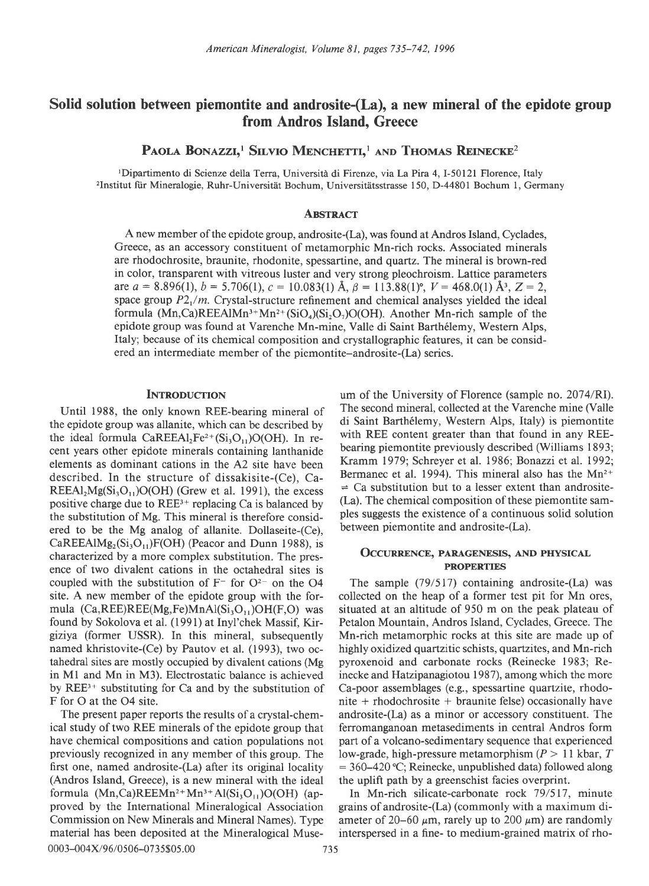# Solid solution between piemontite and androsite-(La), a new mineral of the epidote group from Andros Island. Greece

PAOLA BONAZZI,<sup>1</sup> SILVIO MENCHETTI,<sup>1</sup> AND THOMAS REINECKE<sup>2</sup>

<sup>1</sup>Dipartimento di Scienze della Terra, Università di Firenze, via La Pira 4, I-50121 Florence, Italy <sup>2</sup>Institut für Mineralogie, Ruhr-Universität Bochum, Universitätsstrasse 150, D-44801 Bochum 1, Germany

# **ABSTRACT**

A new member of the epidote group, androsite-(La), was found at Andros Island, Cyclades, Greece, as an accessory constituent of metamorphic Mn-rich rocks. Associated minerals are rhodochrosite, braunite, rhodonite, spessartine, and quartz. The mineral is brown-red in color, transparent with vitreous luster and very strong pleochroism. Lattice parameters are  $a = 8.896(1)$ ,  $b = 5.706(1)$ ,  $c = 10.083(1)$  Å,  $\beta = 113.88(1)$ °,  $V = 468.0(1)$  Å<sup>3</sup>,  $Z = 2$ , space group  $P2_1/m$ . Crystal-structure refinement and chemical analyses yielded the ideal formula  $(Mn,Ca)$ REEAlMn<sup>3+</sup>Mn<sup>2+</sup>(SiO<sub>4</sub>)(Si<sub>2</sub>O<sub>7</sub>)O(OH). Another Mn-rich sample of the epidote group was found at Varenche Mn-mine, Valle di Saint Barth6lemy, Western Alps, Italy; because of its chemical composition and crystallographic features, it can be considered an intermediate member of the oiemontite-androsite-(La) series.

### **INTRODUCTION**

Until 1988, the only known REE-bearing mineral of the epidote group was allanite, which can be described by the ideal formula  $CaREEA1<sub>2</sub>Fe<sup>2+</sup>(Si<sub>3</sub>O<sub>11</sub>)O(OH)$ . In recent years other epidote minerals containing lanthanide elements as dominant cations in the A2 site have been described. In the structure of dissakisite-(Ce), Ca- $REEAI<sub>2</sub>Mg(Si<sub>3</sub>O<sub>11</sub>)O(OH)$  (Grew et al. 1991), the excess positive charge due to REE3+ replacing Ca is balanced by the substitution of Mg. This mineral is therefore considered to be the Mg analog of allanite. Dollaseite-(Ce),  $CaREEAIMg_2(Si_3O_{11})F(OH)$  (Peacor and Dunn 1988), is characterized by a more complex substitution. The presence of two divalent cations in the octahedral sites is coupled with the substitution of  $F^-$  for  $O^{2-}$  on the O4 site. A new member of the epidote group with the formula  $(Ca,REE)REE(Mg,Fe)MnAl(Si<sub>3</sub>O<sub>11</sub>)OH(F,O)$  was found by Sokolova et al. (1991) at Inyl'chek Massif, Kirgiziya (former USSR). In this mineral, subsequently named khristovite-(Ce) by Pautov et al. (1993), two octahedral sites are mostly occupied by divalent cations (Mg in Ml and Mn in M3). Electrostatic balance is achieved by  $REE^{3+}$  substituting for Ca and by the substitution of F for O at the 04 site.

The present paper reports the results of a crystal-chemical study of two REE minerals of the epidote group that have chemical compositions and cation populations not previously recognized in any member of this group. The first one, named androsite-(La) after its original locality (Andros Island, Greece), is a new mineral with the ideal formula  $(Mn,Ca)$ REEMn<sup>2+</sup>Mn<sup>3+</sup>Al(Si<sub>3</sub>O<sub>11</sub>)O(OH) (approved by the International Mineralogical Association Commission on New Minerals and Mineral Names). Type material has been deposited at the Mineralogical Muse-0003-004X/96/0506-0735\$05.00 735

um of the University of Florence (sample no.2074/RI). The second mineral, collected at the Varenche mine (Valle di Saint Barthélemy, Western Alps, Italy) is piemontite with REE content greater than that found in any REEbearing piemontite previously described (Williams 1893; Kramm 1979; Schreyer et al. 1986; Bonazzi et al. 1992; Bermanec et al. 1994). This mineral also has the  $Mn^{2+}$  $\Rightarrow$  Ca substitution but to a lesser extent than androsite-(La). The chemical composition of these piemontite samples suggests the existence ofa continuous solid solution between piemontite and androsite-(La).

### OCCURRENCE, PARAGENESIS, AND PHYSICAL PROPERTIES

The sample (79/517) containing androsite-(La) was collected on the heap of a former test pit for Mn ores, situated at an altitude of 950 m on the peak plateau of Petalon Mountain, Andros Island, Cyclades, Greece. The Mn-rich metamorphic rocks at this site are made up of highly oxidized quartzitic schists, quartzites, and Mn-rich pyroxenoid and carbonate rocks (Reinecke 1983; Reinecke and Hatzipanagiotou 1987), among which the more Ca-poor assemblages (e.g., spessartine quartzite, rhodonite  $+$  rhodochrosite  $+$  braunite felse) occasionally have androsite-(La) as a minor or accessory constituent. The ferromanganoan metasediments in central Andros form part of a volcano-sedimentary sequence that experienced low-grade, high-pressure metamorphism ( $P > 11$  kbar, T  $= 360-420$  °C; Reinecke, unpublished data) followed along the uplift path by a greenschist facies overprint.

In Mn-rich silicate-carbonate rock 79/517, minute grains of androsite-(La) (commonly with a maximum diameter of 20–60  $\mu$ m, rarely up to 200  $\mu$ m) are randomly interspersed in a fine- to medium-grained matrix of rho-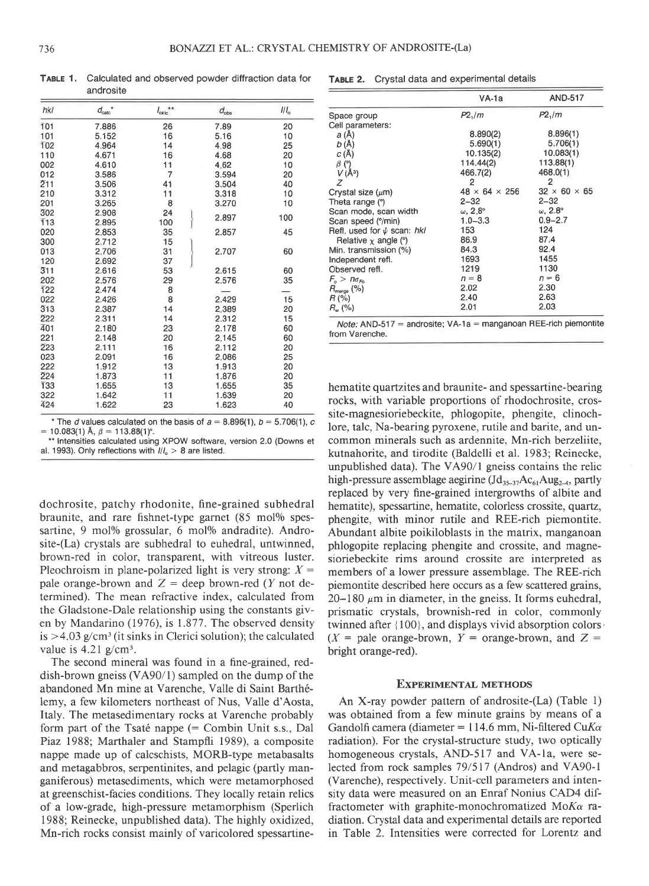TABLE 1, Calculated and observed powder diffraction data for androsite

| hkl              | $d_{\rm calc}$ <sup>*</sup> | $***$<br>$I_{\rm catic}$ | $d_{obs}$ | III <sub>o</sub> |
|------------------|-----------------------------|--------------------------|-----------|------------------|
| 101              | 7.886                       | 26                       | 7.89      | 20               |
| 101              | 5.152                       | 16                       | 5.16      | 10               |
| 102              | 4.964                       | 14                       | 4.98      | 25               |
| 110              | 4.671                       | 16                       | 4.68      | 20               |
| 002              | 4.610                       | 11                       | 4.62      | 10               |
| 012              | 3.586                       | 7                        | 3.594     | 20               |
| 211              | 3.506                       | 41                       | 3.504     | 40               |
| 210              | 3.312                       | 11                       | 3.318     | 10               |
| 201              | 3.265                       | 8                        | 3.270     | 10               |
| 302              | 2.908                       | 24                       | 2.897     | 100              |
| 113              | 2.895                       | 100                      |           |                  |
| 020              | 2.853                       | 35                       | 2.857     | 45               |
| 300              | 2.712                       | 15                       |           |                  |
| 013              | 2.706                       | 31                       | 2.707     | 60               |
| 120              | 2.692                       | 37                       |           |                  |
| $\overline{3}11$ | 2.616                       | 53                       | 2.615     | 60               |
| 202              | 2.576                       | 29                       | 2.576     | 35               |
| $\overline{1}22$ | 2.474                       | 8                        |           |                  |
| 022              | 2.426                       | 8                        | 2.429     | 15               |
| 313              | 2.387                       | 14                       | 2.389     | 20               |
| 222              | 2.311                       | 14                       | 2.312     | 15               |
| 401              | 2.180                       | 23                       | 2.178     | 60               |
| 221              | 2.148                       | 20                       | 2.145     | 60               |
| 223              | 2.111                       | 16                       | 2.112     | 20               |
| 023              | 2.091                       | 16                       | 2.086     | 25               |
| 222              | 1.912                       | 13                       | 1.913     | 20               |
| 224              | 1.873                       | 11                       | 1.876     | 20               |
| 133              | 1.655                       | 13                       | 1.655     | 35               |
| 322              | 1.642                       | 11                       | 1.639     | 20               |
| 424              | 1.622                       | 23                       | 1.623     | 40               |

\* The d values calculated on the basis of  $a = 8.896(1)$ ,  $b = 5.706(1)$ , c  $= 10.083(1)$  Å,  $\beta = 113.88(1)$ °.

\*\* Intensities calculated using XPOW software, version 2.0 (Downs et al. 1993). Only reflections with  $1/1<sub>o</sub> > 8$  are listed.

dochrosite, patchy rhodonite, fine-grained subhedral braunite, and rare fishnet-type garnet (85 mol% spessartine, 9 mol% grossular, 6 mol% andradite). Androsite-(La) crystals are subhedral to euhedral, untwinned, brown-red in color, transparent, with vitreous luster. Pleochroism in plane-polarized light is very strong:  $X =$ pale orange-brown and  $Z =$  deep brown-red (Y not determined). The mean refractive index, calculated from the Gladstone-Dale relationship using the constants given by Mandarino (1976), is 1.877. The observed density is  $>4.03$  g/cm<sup>3</sup> (it sinks in Clerici solution); the calculated value is  $4.21$  g/cm<sup>3</sup>.

The second mineral was found in a fine-grained, reddish-brown gneiss (VA90/l) sampled on the dump of the abandoned Mn mine at Varenche, Valle di Saint Barthé-Iemy, a few kilometers northeast of Nus, Valle d'Aosta, Italy. The metasedimentary rocks at Varenche probably form part of the Tsaté nappe  $($  = Combin Unit s.s., Dal Piaz 1988; Marthaler and Stampfli 1989), a composite nappe made up of calcschists, MORB-type metabasalts and metagabbros, serpentinites, and pelagic (partly manganiferous) metasediments, which were metamorphosed at greenschist-facies conditions. They locally retain relics of a low-grade, high-pressure metamorphism (Sperlich 1988; Reinecke, unpublished data). The highly oxidized, Mn-rich rocks consist mainlv of varicolored spessartineTABLE 2. Crystal data and experimental details

|                                                                    | $VA-1a$                   | <b>AND-517</b>            |
|--------------------------------------------------------------------|---------------------------|---------------------------|
| Space group                                                        | P2,/m                     | $P2\frac{1}{m}$           |
| Cell parameters:                                                   |                           |                           |
| a(A)                                                               | 8.890(2)                  | 8.896(1)                  |
| b(A)                                                               | 5.690(1)                  | 5.706(1)                  |
| C(A)                                                               | 10.135(2)                 | 10.083(1)                 |
| $\beta$ (°)                                                        | 114.44(2)                 | 113.88(1)                 |
|                                                                    | 466.7(2)                  | 468.0(1)                  |
| $V(\lambda^3)$<br>$Z$                                              | 2                         | $\overline{2}$            |
| Crystal size $(\mu m)$                                             | $48 \times 64 \times 256$ | $32 \times 60 \times 65$  |
| Theta range (°)                                                    | $2 - 32$                  | $2 - 32$                  |
| Scan mode, scan width                                              | $\omega$ , 2.8°           | $\omega$ , 2.8 $^{\circ}$ |
| Scan speed (°/min)                                                 | $1.0 - 3.3$               | $0.9 - 2.7$               |
| Refl. used for $\psi$ scan: hkl                                    | 153                       | 124                       |
| Relative $x$ angle ( $\degree$ )                                   | 86.9                      | 87.4                      |
| Min. transmission (%)                                              | 84.3                      | 92.4                      |
| Independent refl.                                                  | 1693                      | 1455                      |
| Observed refl.                                                     | 1219                      | 1130                      |
| $F_{\rm e}$ > $n\sigma_{\rm m}$                                    | $n = 8$                   | $n = 6$                   |
| $R_{\text{merge}}$ (%)                                             | 2.02                      | 2.30                      |
| $H(\% )$                                                           | 2.40                      | 2.63                      |
| $H_w (%)$                                                          | 2.01                      | 2.03                      |
| $Note: AND-517 = androsite: VA-1a = manaanoan REE-rich piemontite$ |                           |                           |

Note: AND-517 = androsite; VA-1a = manganoan REE-rich piemontite from Varenche.

hematite quartzites and braunite- and spessartine-bearing rocks, with variable proportions of rhodochrosite, crossite-magnesioriebeckite, phlogopite, phengite, clinochlore, talc, Na-bearing pyroxene, rutile and barite, and uncommon minerals such as ardennite, Mn-rich berzeliite, kutnahorite, and tirodite (Baldelli et al. 1983; Reinecke, unpublished data). The VA90/l gneiss contains the relic high-pressure assemblage aegirine ( $\text{Id}_{35-37}$ Ac<sub>61</sub>Aug<sub>2-4</sub>, partly replaced by very fine-grained intergrowths of albite and hematite), spessartine, hematite, colorless crossite, quartz, phengite, with minor rutile and REE-rich piemontite. Abundant albite poikiloblasts in the matrix, manganoan phlogopite replacing phengite and crossite, and magnesioriebeckite rims around crossite are interpreted as members of a lower pressure assemblage. The REE-rich piemontite described here occurs as a few scattered grains,  $20-180 \mu m$  in diameter, in the gneiss. It forms euhedral, prismatic crystals, brownish-red in color, commonly twinned after {100}, and displays vivid absorption colors  $(X =$  pale orange-brown,  $Y =$  orange-brown, and Z = bright orange-red).

#### EXPERIMENTAL METHODS

An X-ray powder pattern of androsite-(La) (Table 1) was obtained from a few minute grains by means of a Gandolfi camera (diameter = 114.6 mm, Ni-filtered CuK $\alpha$ radiation). For the crystal-structure study, two optically homogeneous crystals, AND-517 and VA-la, were selected from rock samples 79/517 (Andros) and VA90-l (Varenche), respectively. Unit-cell parameters and intensity data were measured on an Enraf Nonius CAD4 diffractometer with graphite-monochromatized Mo $K\alpha$  radiation. Crystal data and experimental details are reported in Table 2. Intensities were corrected for Lorentz and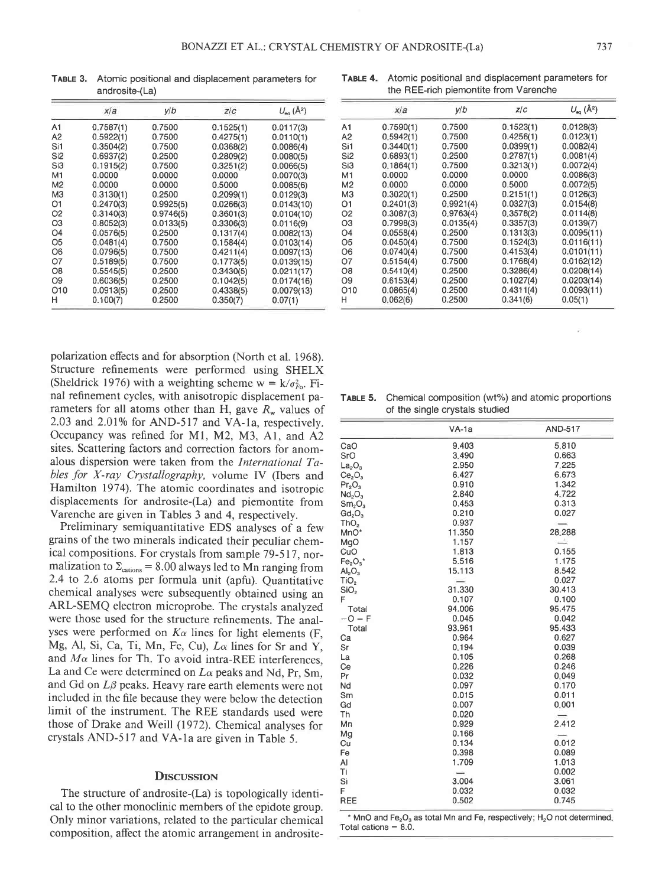TABLE 3. Atomic positional and displacement parameters for androsite-(La)

| TABLE 4. Atomic positional and displacement parameters for |
|------------------------------------------------------------|
| the REE-rich piemontite from Varenche                      |

|                 | x/a       | y/b       | Z/C       | $U_{\text{eq}}(\AA^2)$ |
|-----------------|-----------|-----------|-----------|------------------------|
| A1              | 0.7587(1) | 0.7500    | 0.1525(1) | 0.0117(3)              |
| А2              | 0.5922(1) | 0.7500    | 0.4275(1) | 0.0110(1)              |
| Si1             | 0.3504(2) | 0.7500    | 0.0368(2) | 0.0086(4)              |
| Si <sub>2</sub> | 0.6937(2) | 0.2500    | 0.2809(2) | 0.0080(5)              |
| Si <sub>3</sub> | 0.1915(2) | 0.7500    | 0.3251(2) | 0.0066(5)              |
| M1              | 0.0000    | 0.0000    | 0.0000    | 0.0070(3)              |
| M <sub>2</sub>  | 0.0000    | 0.0000    | 0.5000    | 0.0085(6)              |
| M <sub>3</sub>  | 0.3130(1) | 0.2500    | 0.2099(1) | 0.0129(3)              |
| 01              | 0.2470(3) | 0.9925(5) | 0.0266(3) | 0.0143(10)             |
| O2              | 0.3140(3) | 0.9746(5) | 0.3601(3) | 0.0104(10)             |
| O3              | 0.8052(3) | 0.0133(5) | 0.3306(3) | 0.0116(9)              |
| O4              | 0.0576(5) | 0.2500    | 0.1317(4) | 0.0082(13)             |
| O5              | 0.0481(4) | 0.7500    | 0.1584(4) | 0.0103(14)             |
| O6              | 0.0796(5) | 0.7500    | 0.4211(4) | 0.0097(13)             |
| 07              | 0.5189(5) | 0.7500    | 0.1773(5) | 0.0139(15)             |
| Ο8              | 0.5545(5) | 0.2500    | 0.3430(5) | 0.0211(17)             |
| O9              | 0.6036(5) | 0.2500    | 0.1042(5) | 0.0174(16)             |
| O10             | 0.0913(5) | 0.2500    | 0.4338(5) | 0.0079(13)             |
| н               | 0.100(7)  | 0.2500    | 0.350(7)  | 0.07(1)                |

|                 | x/a       | y/b       | Z/C       | $U_{\infty}(\AA^2)$ |
|-----------------|-----------|-----------|-----------|---------------------|
| A1              | 0.7590(1) | 0.7500    | 0.1523(1) | 0.0128(3)           |
| A <sub>2</sub>  | 0.5942(1) | 0.7500    | 0.4256(1) | 0.0123(1)           |
| Si1             | 0.3440(1) | 0.7500    | 0.0399(1) | 0.0082(4)           |
| Si <sub>2</sub> | 0.6893(1) | 0.2500    | 0.2787(1) | 0.0081(4)           |
| Si3             | 0.1864(1) | 0.7500    | 0.3213(1) | 0.0072(4)           |
| M1              | 0.0000    | 0.0000    | 0.0000    | 0.0086(3)           |
| M <sub>2</sub>  | 0.0000    | 0.0000    | 0.5000    | 0.0072(5)           |
| M <sub>3</sub>  | 0.3020(1) | 0.2500    | 0.2151(1) | 0.0126(3)           |
| O1              | 0.2401(3) | 0.9921(4) | 0.0327(3) | 0.0154(8)           |
| O <sub>2</sub>  | 0.3087(3) | 0.9763(4) | 0.3578(2) | 0.0114(8)           |
| O <sub>3</sub>  | 0.7998(3) | 0.0135(4) | 0.3357(3) | 0.0139(7)           |
| O4              | 0.0558(4) | 0.2500    | 0.1313(3) | 0.0095(11)          |
| O <sub>5</sub>  | 0.0450(4) | 0.7500    | 0.1524(3) | 0.0116(11)          |
| O6              | 0.0740(4) | 0.7500    | 0.4153(4) | 0.0101(11)          |
| Ο7              | 0.5154(4) | 0.7500    | 0.1768(4) | 0.0162(12)          |
| O8              | 0.5410(4) | 0.2500    | 0.3286(4) | 0.0208(14)          |
| O9              | 0.6153(4) | 0.2500    | 0.1027(4) | 0.0203(14)          |
| O10             | 0.0865(4) | 0.2500    | 0.4311(4) | 0.0093(11)          |
| н               | 0.062(6)  | 0.2500    | 0.341(6)  | 0.05(1)             |

polarization effects and for absorption (North et al. 1968). Structure refinements were performed using SHELX (Sheldrick 1976) with a weighting scheme  $w = k/\sigma_{F_0}^2$ . Final refinement cycles, with anisotropic displacement parameters for all atoms other than H, gave  $R_w$  values of 2.03 and 2.01% for AND-517 and VA-1a, respectively. Occupancy was refined for M1, M2, M3, A1, and A2 sites. Scattering factors and correction factors for anomalous dispersion were taken from the International Tables for X-ray Crystallography, volume IV (Ibers and Hamilton 1974). The atomic coordinates and isotropic displacements for androsite-(La) and piemontite from Varenche are given in Tables 3 and 4, respectively.

Preliminary semiquantitative EDS analyses of a few grains of the two minerals indicated their peculiar chemical compositions. For crystals from sample 79-517, normalization to  $\Sigma_{\rm cations}$  = 8.00 always led to Mn ranging from 2.4 to 2.6 atoms per formula unit (apfu). Quantitative chemical analyses were subsequently obtained using an ARL-SEMQ electron microprobe. The crystals analyzed were those used for the structure refinements. The analyses were performed on  $K_{\alpha}$  lines for light elements (F, Mg, Al, Si, Ca, Ti, Mn, Fe, Cu), La lines for Sr and Y, and  $M\alpha$  lines for Th. To avoid intra-REE interferences, La and Ce were determined on  $L\alpha$  peaks and Nd, Pr, Sm. and Gd on  $L\beta$  peaks. Heavy rare earth elements were not included in the file because they were below the detection limit of the instrument. The REE standards used were those of Drake and Weill (1972). Chemical analyses for crystals AND-517 and VA-1a are given in Table 5.

### **DISCUSSION**

The structure of androsite-(La) is topologically identical to the other monoclinic members of the epidote group. Only minor variations, related to the particular chemical composition, affect the atomic arrangement in androsite-

| <b>TABLE 5.</b> Chemical composition (wt%) and atomic proportions |
|-------------------------------------------------------------------|
| of the single crystals studied                                    |

| CaO<br>SrO<br>$La_2O_3$<br>Ce <sub>2</sub> O <sub>3</sub><br>$Pr_2O_3$ | 9.403<br>3.490<br>2.950<br>6.427<br>0.910<br>2.840<br>0.453 | 5.810<br>0.663<br>7.225<br>6.673<br>1.342 |
|------------------------------------------------------------------------|-------------------------------------------------------------|-------------------------------------------|
|                                                                        |                                                             |                                           |
|                                                                        |                                                             |                                           |
|                                                                        |                                                             |                                           |
|                                                                        |                                                             |                                           |
|                                                                        |                                                             |                                           |
| Nd <sub>2</sub> O <sub>3</sub>                                         |                                                             | 4.722                                     |
| Sm <sub>2</sub> O <sub>3</sub>                                         |                                                             | 0.313                                     |
| Gd <sub>2</sub> O <sub>3</sub>                                         | 0.210                                                       | 0.027                                     |
| ThO <sub>2</sub>                                                       | 0.937                                                       | $\sim$                                    |
| MnO*                                                                   | 11.350                                                      | 28.288                                    |
| MgO                                                                    | 1.157                                                       |                                           |
| CuO                                                                    | 1.813                                                       | 0.155                                     |
| $Fe2O3$ *                                                              | 5.516                                                       | 1.175                                     |
| AI <sub>2</sub> O <sub>3</sub>                                         | 15.113                                                      | 8.542                                     |
| TiO <sub>2</sub>                                                       | $\overline{\phantom{a}}$                                    | 0.027                                     |
| SiO <sub>2</sub>                                                       | 31.330                                                      | 30.413                                    |
| F                                                                      | 0.107                                                       | 0.100                                     |
| Total                                                                  | 94.006                                                      | 95.475                                    |
| $-0 = F$                                                               | 0.045                                                       | 0.042                                     |
| Total                                                                  | 93.961                                                      | 95.433                                    |
| Ca                                                                     | 0.964                                                       | 0.627                                     |
| Sr                                                                     | 0.194                                                       | 0.039                                     |
| La                                                                     | 0.105                                                       | 0.268                                     |
| Ce                                                                     | 0.226                                                       | 0.246                                     |
| Pr                                                                     | 0.032                                                       | 0.049                                     |
| Nd                                                                     | 0.097                                                       | 0.170                                     |
| Sm                                                                     | 0.015                                                       | 0.011                                     |
| Gd                                                                     | 0.007                                                       | 0.001                                     |
| Th                                                                     | 0.020                                                       | $\overline{\phantom{m}}$                  |
| Mn                                                                     | 0.929                                                       | 2.412                                     |
| Mg                                                                     | 0.166                                                       |                                           |
| Cu                                                                     | 0.134                                                       | 0.012                                     |
| Fe                                                                     | 0.398                                                       | 0.089                                     |
| AI                                                                     | 1.709                                                       | 1.013                                     |
| Tì                                                                     | $\longrightarrow$                                           | 0.002                                     |
| Si                                                                     | 3.004                                                       | 3.061                                     |
| F                                                                      | 0.032                                                       | 0.032                                     |
| REE                                                                    | 0.502                                                       | 0.745                                     |

MnO and Fe<sub>2</sub>O<sub>3</sub> as total Mn and Fe, respectively; H<sub>2</sub>O not determined, Total cations =  $8.0$ .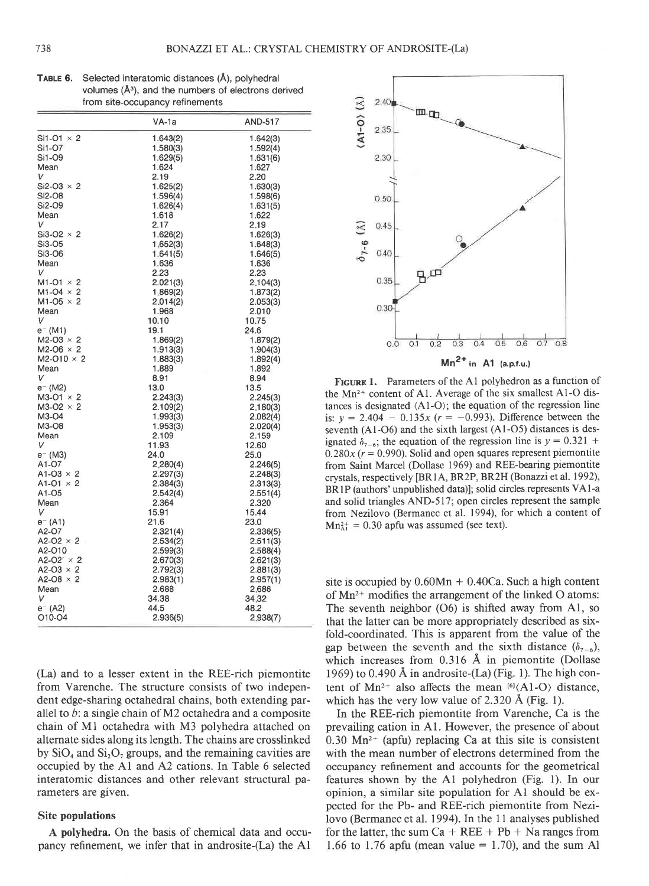| <b>TABLE 6.</b> Selected interatomic distances (A), polyhedral |
|----------------------------------------------------------------|
| volumes $(A3)$ , and the numbers of electrons derived          |
| from site-occupancy refinements                                |
|                                                                |

|                     | VA-1a    | AND-517  |
|---------------------|----------|----------|
| $Si1-O1 \times 2$   | 1.643(2) | 1.642(3) |
| Si1-07              | 1.580(3) | 1.592(4) |
| Si1-09              | 1.629(5) | 1.631(6) |
| Mean                | 1.624    | 1.627    |
| V                   | 2.19     | 2.20     |
| Si2-O3 $\times$ 2   | 1.625(2) | 1.630(3) |
| Si2-O8              | 1.596(4) | 1.598(6) |
| Si2-O9              | 1.626(4) | 1.631(5) |
| Mean                | 1.618    | 1.622    |
| V                   | 2.17     | 2.19     |
| Si3-O2 $\times$ 2   | 1.626(2) | 1.626(3) |
| Si3-O5              | 1.652(3) | 1.648(3) |
| Si3-O6              | 1.641(5) | 1.646(5) |
| Mean                | 1.636    | 1.636    |
| v                   | 2.23     | 2.23     |
| $M1-O1 \times 2$    | 2.021(3) | 2.104(3) |
| $M1-O4 \times 2$    | 1.869(2) | 1.873(2) |
| $M1-O5 \times 2$    | 2.014(2) | 2.053(3) |
| Mean                | 1.968    | 2.010    |
| V                   | 10.10    | 10.75    |
| e= (M1)             | 19.1     | 24.6     |
| $M2-O3 \times 2$    | 1.869(2) | 1.879(2) |
| $M2-O6 \times 2$    | 1.913(3) | 1.904(3) |
| $M2-010 \times 2$   | 1.883(3) | 1.892(4) |
| Mean                | 1.889    | 1.892    |
| V                   | 8.91     | 8.94     |
| e <sup>-</sup> (M2) | 13.0     | 13.5     |
| $M3-O1 \times 2$    | 2.243(3) | 2.245(3) |
| $M3-O2 \times 2$    | 2.109(2) | 2.180(3) |
| M3-04               | 1.993(3) | 2.082(4) |
| M3-O8               | 1.953(3) | 2.020(4) |
| Mean                | 2.109    | 2.159    |
| v                   | 11.93    | 12.60    |
| e <sup>-</sup> (M3) | 24.0     | 25.0     |
| A1-07               | 2.280(4) | 2.246(5) |
| $A1-O3 \times 2$    | 2.297(3) | 2.248(3) |
| A1-O1 $\times$ 2    | 2.384(3) | 2.313(3) |
| A1-05               | 2.542(4) | 2.551(4) |
| Mean                | 2.364    | 2.320    |
| V                   | 15.91    | 15.44    |
| e <sup>-</sup> (A1) | 21.6     | 23.0     |
| A2-O7               | 2.321(4) | 2.336(5) |
| $A2-O2 \times 2$    | 2.534(2) | 2.511(3) |
| A2-010              | 2.599(3) | 2.588(4) |
| A2-O2' $\times$ 2   | 2.670(3) | 2.621(3) |
| A2-O3 $\times$ 2    | 2.792(3) | 2.881(3) |
| A2-O8 $\times$ 2    | 2.983(1) | 2.957(1) |
| Mean                | 2.688    | 2.686    |
| V                   | 34.38    | 34.32    |
| $e^{-}$ (A2)        | 44.5     | 48.2     |
| 010-04              | 2.936(5) | 2.938(7) |
|                     |          |          |

(La) and to a lesser extent in the REE-rich piemontite from Varenche. The structure consists of two independent edge-sharing octahedral chains, both extending parallel to  $b$ : a single chain of M2 octahedra and a composite chain of M1 octahedra with M3 polyhedra attached on alternate sides along its length. The chains are crosslinked by  $SiO_4$  and  $Si_2O_7$  groups, and the remaining cavities are occupied by the A1 and A2 cations. In Table 6 selected interatomic distances and other relevant structural parameters are given.

## **Site populations**

A polyhedra. On the basis of chemical data and occupancy refinement, we infer that in androsite-(La) the A1



FIGURE 1. Parameters of the A1 polyhedron as a function of the Mn<sup>2+</sup> content of A1. Average of the six smallest A1-O distances is designated  $(Al-O)$ ; the equation of the regression line is:  $y = 2.404 - 0.135x$  ( $r = -0.993$ ). Difference between the seventh (A1-O6) and the sixth largest (A1-O5) distances is designated  $\delta_{7-6}$ ; the equation of the regression line is  $y = 0.321 +$  $0.280x$  ( $r = 0.990$ ). Solid and open squares represent piemontite from Saint Marcel (Dollase 1969) and REE-bearing piemontite crystals, respectively [BR1A, BR2P, BR2H (Bonazzi et al. 1992), BR1P (authors' unpublished data)]; solid circles represents VA1-a and solid triangles AND-517; open circles represent the sample from Nezilovo (Bermanec et al. 1994), for which a content of  $Mn_{\text{Al}}^{2+} = 0.30$  apfu was assumed (see text).

site is occupied by  $0.60Mn + 0.40Ca$ . Such a high content of  $Mn^{2+}$  modifies the arrangement of the linked O atoms: The seventh neighbor  $(06)$  is shifted away from A1, so that the latter can be more appropriately described as sixfold-coordinated. This is apparent from the value of the gap between the seventh and the sixth distance  $(\delta_{7-6})$ , which increases from  $0.316$  Å in piemontite (Dollase 1969) to 0.490 Å in androsite- $(La)$  (Fig. 1). The high content of Mn<sup>2+</sup> also affects the mean  $^{[6]}\langle A1-O \rangle$  distance, which has the very low value of 2.320 Å (Fig. 1).

In the REE-rich piemontite from Varenche, Ca is the prevailing cation in A1. However, the presence of about  $0.30 \text{ Mn}^{2+}$  (apfu) replacing Ca at this site is consistent with the mean number of electrons determined from the occupancy refinement and accounts for the geometrical features shown by the A1 polyhedron (Fig. 1). In our opinion, a similar site population for A1 should be expected for the Pb- and REE-rich piemontite from Nezilovo (Bermanec et al. 1994). In the 11 analyses published for the latter, the sum  $Ca + REE + Pb + Na$  ranges from 1.66 to 1.76 apfu (mean value = 1.70), and the sum Al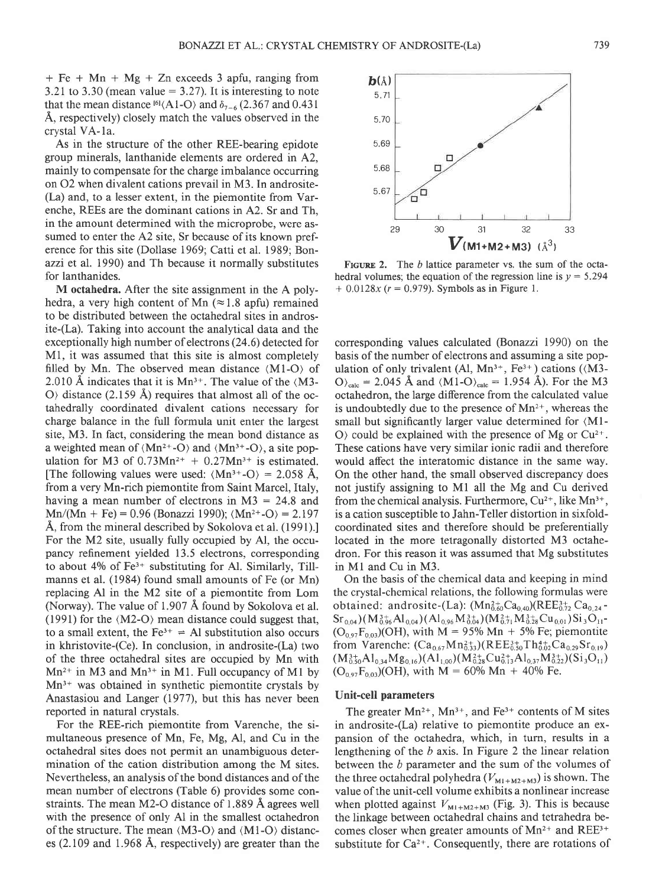$+$  Fe + Mn + Mg + Zn exceeds 3 apfu, ranging from 3.21 to 3.30 (mean value  $= 3.27$ ). It is interesting to note that the mean distance  $^{16}$ (Al-O) and  $\delta$ <sub>7-6</sub> (2.367 and 0.431 A, respectively) closely match the values observed in the crystal VA-la.

As in the structure of the other REE-bearing epidote group minerals, Ianthanide elements are ordered in A2, mainly to compensate for the charge imbalance occurring on 02 when divalent cations prevail in M3. In androsite- (La) and, to a lesser extent, in the piemontite from Varenche, REEs are the dominant cations in 42. Sr and Th, in the amount determined with the microprobe, were assumed to enter the A2 site, Sr because of its known preference for this site (Dollase 1969; Catti et al. 1989; Bonazzi et al. 1990) and Th because it normally substitutes for lanthanides.

M octahedra. After the site assignment in the A polyhedra, a very high content of Mn  $(\approx 1.8 \text{ apfu})$  remained to be distributed between the octahedral sites in androsite-(La). Taking into account the analytical data and the exceptionally high number of electrons (24.6) detected for Ml, it was assumed that this site is almost completely filled by Mn. The observed mean distance  $\langle M1-O \rangle$  of 2.010 Å indicates that it is  $Mn^{3+}$ . The value of the  $(M3-)$  $\circ$  distance (2.159 Å) requires that almost all of the octahedrally coordinated divalent cations necessary for charge balance in the full formula unit enter the largest site, M3. In fact, considering the mean bond distance as a weighted mean of  $\langle Mn^{2+}-O \rangle$  and  $\langle Mn^{3+}-O \rangle$ , a site population for M3 of  $0.73Mn^{2+} + 0.27Mn^{3+}$  is estimated. [The following values were used:  $\langle Mn^{3+}-O \rangle = 2.058$  Å, from a very Mn-rich piemontite from Saint Marcel, Italy, having a mean number of electrons in  $M3 = 24.8$  and  $Mn/(Mn + Fe) = 0.96$  (Bonazzi 1990);  $(Mn^{2+}-O) = 2.197$ A, from the mineral described by Sokolova et al. (1991). For the M2 site, usually fully occupied by Al, the occupancy refinement yielded 13.5 electrons, corresponding to about  $4\%$  of Fe<sup>3+</sup> substituting for Al. Similarly, Tillmanns et al. (1984) found small amounts of Fe (or Mn) replacing Al in the M2 site of a piemontite from Lom (Norway). The value of 1.907 A found by Sokolova et al. (1991) for the  $(M2-O)$  mean distance could suggest that, to a small extent, the  $Fe^{3+}$  = Al substitution also occurs in khristovite-(Ce). In conclusion, in androsite-(La) two of the three octahedral sites are occupied by Mn with  $Mn^{2+}$  in M3 and  $Mn^{3+}$  in M1. Full occupancy of M1 by  $Mn^{3+}$  was obtained in synthetic piemontite crystals by Anastasiou and Langer (1977), but this has never been reported in natural crystals.

For the REE-rich piemontite from Varenche, the simultaneous presence of Mn, Fe, Mg, Al, and Cu in the octahedral sites does not permit an unambiguous determination of the cation distribution among the M sites. Nevertheless, an analysis of the bond distances and of the mean number of electrons (Table 6) provides some constraints. The mean  $M2-O$  distance of 1.889 A agrees well with the presence of only Al in the smallest octahedron of the structure. The mean  $(M3-O)$  and  $(M1-O)$  distances (2.109 and 1.968 A, respectively) are greater than the



FIGURE 2. The  $b$  lattice parameter vs. the sum of the octahedral volumes; the equation of the regression line is  $y = 5.294$  $+ 0.0128x$  ( $r = 0.979$ ). Symbols as in Figure 1.

corresponding values calculated (Bonazzi 1990) on the basis of the number of electrons and assuming a site population of only trivalent (Al,  $Mn^{3+}$ , Fe<sup>3+</sup>) cations ( $(M3-)$  $O_{\text{calc}} = 2.045$  Å and  $\langle \text{M1-O} \rangle_{\text{calc}} = 1.954$  Å). For the M3 octahedron, the large difference from the calculated value is undoubtedly due to the presence of  $Mn^{2+}$ , whereas the small but significantly larger value determined for  $(M1$ - $\mathcal{O}$  could be explained with the presence of Mg or Cu<sup>2+</sup>. These cations have very similar ionic radii and therefore would affect the interatomic distance in the same way. On the other hand, the small observed discrepancy does not justify assigning to Ml all the Mg and Cu derived from the chemical analysis. Furthermore,  $Cu^{2+}$ , like Mn<sup>3+</sup>, is a cation susceptible to Jahn-Teller distortion in sixfoldcoordinated sites and therefore should be preferentially located in the more tetragonally distorted M3 octahedron. For this reason it was assumed that Mg substitutes in Ml and Cu in M3.

On the basis of the chemical data and keeping in mind the crystal-chemical relations, the following formulas were obtained: androsite-(La):  $(Mn_{0.60}^{2+}Ca_{0.40})(REE_{0.72}^{3+}Ca_{0.24}$ - $\rm Sr_{0.04})(M_{0.96}^{3+}Al_{0.04})(Al_{0.96}M_{0.04}^{3+})(M_{0.71}^{2+}M_{0.28}^{3+}Cu_{0.01})Si_{3}O_{11}$  $(O_{0.97}F_{0.03})$ (OH), with M = 95% Mn + 5% Fe; piemontite from Varenche:  $(Ca_{0.67}Mn_{0.33}^{2+})$ (REE $_{0.50}^{3+}Th_{0.02}^{4+}Ca_{0.29}Sr_{0.19})$  $(M_{0.50}^{3+}Al_{0.34}Mg_{0.16})(Al_{1,00})(M_{0.28}^{2+}Cu_{0.13}^{2+}Al_{0.37}M_{0.22}^{3+})(Si_3O_{11})$  $(O_{0.97}F_{0.03})(OH)$ , with  $M = 60\%$  Mn + 40% Fe.

#### Unit-cell parameters

The greater  $Mn^{2+}$ ,  $Mn^{3+}$ , and  $Fe^{3+}$  contents of M sites in androsite-(La) relative to piemontite produce an expansion of the octahedra, which, in turn, results in a lengthening of the  $b$  axis. In Figure 2 the linear relation between the b parameter and the sum of the volumes of the three octahedral polyhedra ( $V_{M1+M2+M3}$ ) is shown. The value of the unit-cell volume exhibits a nonlinear increase when plotted against  $V_{M1+M2+M3}$  (Fig. 3). This is because the linkage between octahedral chains and tetrahedra becomes closer when greater amounts of  $Mn^{2+}$  and REE<sup>3+</sup> substitute for  $Ca^{2+}$ . Consequently, there are rotations of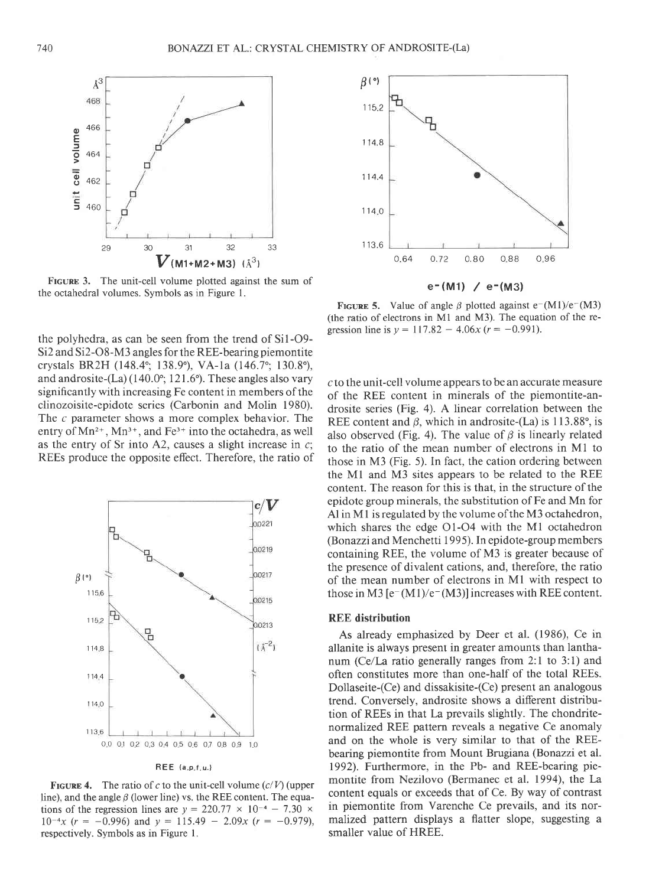

FIGURE 3. The unit-cell volume plotted against the sum of the octahedral volumes. Symbols as in Figure l.

the polyhedra, as can be seen from the trend of  $Si1-O9-$ Si2 and Si2-O8-M3 angles for the REE-bearing piemontite crystals BR2H (148.4°; 138.9°), VA-1a (146.7°; 130.8°), and androsite- $(La)$  (140.0°; 121.6°). These angles also vary significantly with increasing Fe content in members of the clinozoisite-epidote series (Carbonin and Molin 1980). The c parameter shows a more complex behavior. The entry of  $Mn^{2+}$ ,  $Mn^{3+}$ , and  $Fe^{3+}$  into the octahedra, as well as the entry of Sr into A2, causes a slight increase in  $c$ ; REEs produce the opposite effect. Therefore, the ratio of



 $REE$   $(a.p.f.u.)$ 

**FIGURE 4.** The ratio of c to the unit-cell volume  $(c/V)$  (upper line), and the angle  $\beta$  (lower line) vs. the REE content. The equations of the regression lines are  $y = 220.77 \times 10^{-4} - 7.30 \times 10^{-4}$  $10^{-4}x$  (r = -0.996) and y = 115.49 - 2.09x (r = -0.979), respectively. Symbols as in Figure l.



FIGURE 5. Value of angle  $\beta$  plotted against e<sup>-</sup>(M1)/e<sup>-</sup>(M3) (the ratio of electrons in Ml and M3). The equation of the regression line is  $y = 117.82 - 4.06x$  ( $r = -0.991$ ).

c to the unit-cell volume appears to be an accurate measure of the REE content in minerals of the piemontite-androsite series (Fig. 4). A linear correlation between the REE content and  $\beta$ , which in androsite-(La) is 113.88°, is also observed (Fig. 4). The value of  $\beta$  is linearly related to the ratio of the mean number of electrons in Ml to those in M3 (Fig. 5). In fact, the cation ordering between the Ml and M3 sites appears to be related to the REE content. The reason for this is that, in the structure of the epidote group minerals, the substitution of Fe and Mn for Al in M1 is regulated by the volume of the M3 octahedron, which shares the edge O1-O4 with the Ml octahedron (Bonazzi and Menchetti 1995). In epidote-group members containing REE, the volume of M3 is greater because of the presence of divalent cations, and, therefore, the ratio of the mean number of electrons in Ml with respect to those in M3  $[e-(M1)/e-(M3)]$  increases with REE content.

## REE distribution

As already emphasized by Deer et al. (1986), Ce in allanite is always present in greater amounts than lanthanum (Ce/La ratio generally ranges from 2:1 to 3:1) and often constitutes more than one-half of the total REEs. Dollaseite-(Ce) and dissakisite-(Ce) present an analogous trend. Conversely, androsite shows a different distribution of REEs in that La prevails slightly. The chondritenormalized REE pattern reveals a negative Ce anomaly and on the whole is very similar to that of the REEbearing piemontite from Mount Brugiana (Bonazzi et al. 1992). Furthermore, in the Pb- and REE-bearing piemontite from Nezilovo (Bermanec et al. 1994), the La content equals or exceeds that of Ce. By way of contrast in piemontite from Varenche Ce prevails, and its normalized pattern displays a flatter slope, suggesting a smaller value of HREE.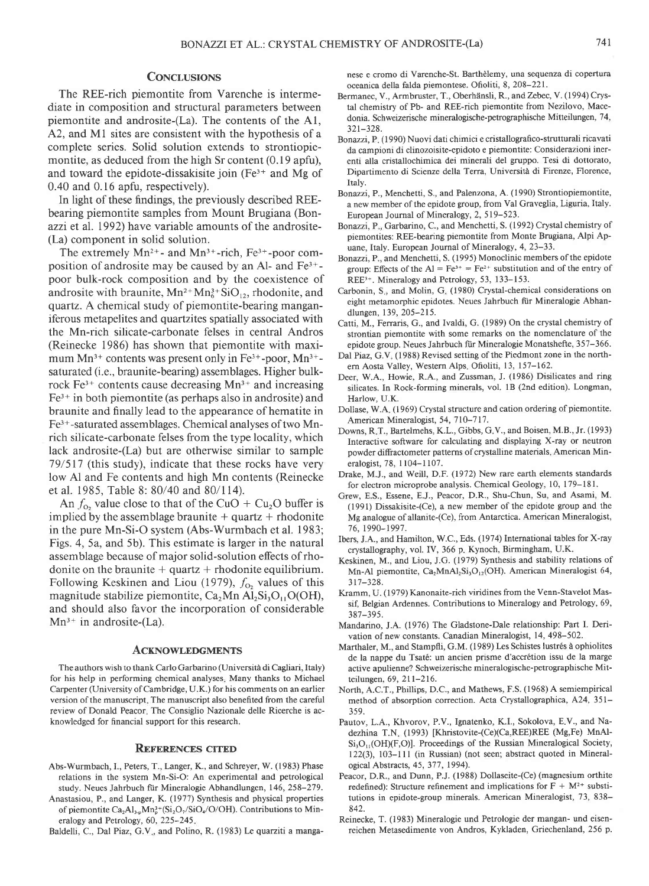#### CONCLUSIONS

The REE-rich piemontite from Varenche is intermediate in composition and structural parameters between piemontite and androsite-(La). The contents of the Al, A2, and M1 sites are consistent with the hypothesis of a complete series. Solid solution extends to strontiopiemontite, as deduced from the high Sr content (0.19 apfu), and toward the epidote-dissakisite join  $(Fe<sup>3+</sup>$  and Mg of 0.40 and 0.16 apfu, respectively).

In light of these findings, the previously described REEbearing piemontite samples from Mount Brugiana (Bonazzi et al. 1992) have variable amounts of the androsite- (La) component in solid solution.

The extremely  $Mn^{2+}$ - and  $Mn^{3+}$ -rich, Fe<sup>3+</sup>-poor composition of androsite may be caused by an Al- and Fe3\* poor bulk-rock composition and by the coexistence of androsite with braunite,  $Mn^{2+}Mn_6^{3+}SiO_{12}$ , rhodonite, and quartz. A chemical study of piemontite-bearing manganiferous metapelites and quartzites spatially associated with the Mn-rich silicate-carbonate felses in central Andros (Reinecke 1986) has shown that piemontite with maximum  $Mn^{3+}$  contents was present only in Fe<sup>3+</sup>-poor,  $Mn^{3+}$ saturated (i.e., braunite-bearing) assemblages. Higher bulkrock  $Fe<sup>3+</sup>$  contents cause decreasing  $Mn<sup>3+</sup>$  and increasing  $Fe<sup>3+</sup>$  in both piemontite (as perhaps also in androsite) and braunite and finally lead to the appearance of hematite in Fe3+-saturated assemblages. Chemical analyses of two Mnrich silicate-carbonate felses from the type locality, which lack androsite-(La) but are otherwise similar to sample 79/517 (this study), indicate that these rocks have very low Al and Fe contents and high Mn contents (Reinecke et al. 1985, Table 8: 80/40 and 80/1 14).

An  $f_0$ , value close to that of the CuO + Cu<sub>2</sub>O buffer is implied by the assemblage braunite  $+$  quartz  $+$  rhodonite in the pure Mn-Si-O system (Abs-Wurmbach et al. 1983; Figs. 4, 5a, and 5b). This estimate is larger in the natural assemblage because of major solid-solution effects of rhodonite on the braunite  $+$  quartz  $+$  rhodonite equilibrium. Following Keskinen and Liou (1979),  $f_{o_2}$  values of this magnitude stabilize piemontite,  $Ca<sub>2</sub>Mn Al<sub>2</sub>Si<sub>3</sub>O<sub>11</sub>O(OH)$ , and should also favor the incorporation of considerable  $Mn^{3+}$  in androsite-(La).

#### **ACKNOWLEDGMENTS**

The authors wish to thank Carlo Garbarino (Università di Cagliari, Italy) for his help in performing chemical analyses. Many thanks to Michael Carpenter (University of Cambridge, U.K.) for his comments on an earlier version of the manuscript. The manuscript also benefited from the careful review of Donald Peacor. The Consiglio Nazionale delle Ricerche is acknowledged for financial support for this research.

#### **REFERENCES CITED**

- Abs-Wurmbach, I., Peters, T., Langer, K., and Schreyer, W. (1983) Phase relations in the system Mn-Si-O: An experimental and petrological study. Neues Jahrbuch für Mineralogie Abhandlungen, 146, 258-279.
- Anastasiou, P., and Langer, K. (1977) Synthesis and physical properties of piemontite  $Ca_2Al_{3,p}Mn_p^3+(Si_2O_7/SiO_4/O/OH)$ . Contributions to Mineralogy and Petrology, 60, 225-245.

Baldelli, C., Dal Piaz, G.V., and Polino, R. (1983) Le quarziti a manga-

nese e cromo di Varenche-St. Barthèlemy, una sequenza di copertura oceanica della falda piemontese. Ofioliti, 8, 208-221.

- Bermanec, V., Armbruster, T., Oberhänsli, R., and Zebec, V. (1994) Crystal chemistry of Pb- and REE-rich piemontite from Nezilovo, Macedonia. Schweizerische mineralogische-petrographische Mitteilungen, 74, 32r-328.
- Bonazzi,P (1990) Nuovi dati chimici e cristallografico-strutturali ricavati da campioni di clinozoisite-epidoto e piemontite: Considerazioni inerenti alla cristallochimica dei minerali del gruppo. Tesi di dottorato, Dipartimento di Scienze della Terra, Università di Firenze, Florence, Italy.
- Bonazzi, P., Menchetti, S., and Palenzona, A. (1990) Strontiopiemontite, a new member of the epidote group, from Val Graveglia, Liguria, Italy. European Journal of Mineralogy, 2, 519-523.
- Bonazzi, P., Garbarino, C., and Menchetti, S. (1992) Crystal chemistry of piemontites: REE-bearing piemontite from Monte Brugiana, Alpi Apuane, Italy. European Journal of Mineralogy, 4, 23-33.
- Bonazzi. P.. and Menchetti, S. (1995) Monoclinic members of the epidote group: Effects of the Al = Fe<sup>3+</sup> = Fe<sup>2+</sup> substitution and of the entry of REE3\*. Mineralogy and Petrology, 53, 133-153.
- Carbonin, S., and Molin, G. (1980) Crystal-chemical considerations on eight metamorphic epidotes. Neues Jahrbuch fiir Mineralogie Abhandlungen, 139,205-215.
- Catti, M., Ferraris, G., and Ivaldi, G. (1989) On the crystal chemistry of strontian piemontite with some remarks on the nomenclature of the epidote group. Neues Jahrbuch fiir Mineralogie Monatshefte, 357 -366.
- Dal Piaz, G.V<sub>+</sub> (1988) Revised setting of the Piedmont zone in the northern Aosta Valley, Western Alps. Ofioliti, 13, 157-162.
- Deer, W.A., Howie, R.A., and Zussman, J. (1986) Disilicates and ring silicates. In Rock-forming minerals, vol. 1B (2nd edition). Longman, Harlow. U.K.
- Dollase, W.A. (1969) Crystal structure and cation ordering of piemontite. American Mineralogist, 54, 710-717.
- Downs, R T., Bartelmehs, K.L., Gibbs, G V., and Boisen, M.B., Jr. (1993) Interactive software for calculating and displaying X-ray or neutron powder diffractometer patterns of crystalline materials American Mineralogist, 78, I 104-l 107.
- Drake, M.J., and Weill, D.F. (1972) New rare earth elements standards for electron microprobe analysis. Chemical Geology, 10, 179-181.
- Grew, E.S., Essene, E.J., Peacor, D.R., Shu-Chun, Su, and Asami, M. (1991) Dissakisite-(Ce), a new member of the epidote group and the Mg analogue of allanite-(Ce), from Antarctica. American Mineralogist, 76, 1990-1997.
- Ibers, J.A., and Hamilton, W.C., Eds. (1974) Intemational tables for X-ray crystallography, vol. IV, 366 p. Kynoch, Birmingham, U.K.
- Keskinen, M., and Liou, J.G. (1979) Synthesis and stability relations of Mn-Al piemontite, Ca<sub>2</sub>MnAl<sub>2</sub>Si<sub>3</sub>O<sub>12</sub>(OH). American Mineralogist 64, 317-328.
- Kramm, U. (1979) Kanonaite-rich viridines from the Venn-Stavelot Massif, Belgian Ardennes. Contributions to Mineralogy and Petrology, 69, 387-395.
- Mandarino, J.A. (1976) The Gladstone-Dale relationship: Part I. Derivation of new constants. Canadian Mineralogist, 14, 498-502.
- Marthaler, M., and Stampfli, G.M. (1989) Les Schistes lustrés à ophiolites de la nappe du Tsaté: un ancien prisme d'accrétion issu de la marge active apulienne? Schweizerische mineralogische-petrographische Mitteilungen, 69, 2ll-216.
- North, A.C.T., Phillips, D.C., and Mathews, F.S. (1968) A semiempirical method of absorption correction. Acta Crystallographica, A24, 351-3s9.
- Pautov, L.A., Khvorov, P.V., Ignatenko, K.I., Sokolova, E.V., and Nadezhina T.N. (1993) [Khristovite-(Ce)(Ca,REE)REE (Mg,Fe) MnAl- $Si<sub>3</sub>O<sub>11</sub>(OH)(F,O)$ ]. Proceedings of the Russian Mineralogical Society, 122(3), 103-lll (in Russian) (not seen; abstract quoted in Mineralogical Abstracts, 45, 377, 1994).
- Peacor, D.R., and Dunn, P.J. (1988) Dollaseite-(Ce) (magnesium orthite redefined): Structure refinement and implications for  $F + M^{2+}$  substitutions in epidote-group minerals. American Mineralogist, 73, 838- 842.
- Reinecke, T. (1983) Mineralogie und Petrologie der mangan- und eisenreichen Metasedimente von Andros, Kykladen, Griechenland, 256 p.